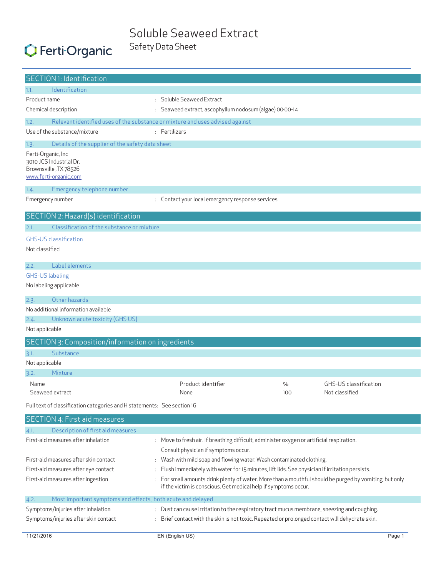### Soluble Seaweed Extract Safety Data Sheet

# C Ferti Organic

| <b>SECTION 1: Identification</b>                                                                |                                                                                                                                                                           |                                                                      |                       |  |
|-------------------------------------------------------------------------------------------------|---------------------------------------------------------------------------------------------------------------------------------------------------------------------------|----------------------------------------------------------------------|-----------------------|--|
| <b>Identification</b><br>1.1.                                                                   |                                                                                                                                                                           |                                                                      |                       |  |
| Product name                                                                                    | : Soluble Seaweed Extract                                                                                                                                                 |                                                                      |                       |  |
| Chemical description                                                                            | : Seaweed extract, ascophyllum nodosum (algae) 00-00-14                                                                                                                   |                                                                      |                       |  |
| 1.2.                                                                                            | Relevant identified uses of the substance or mixture and uses advised against                                                                                             |                                                                      |                       |  |
| Use of the substance/mixture                                                                    | : Fertilizers                                                                                                                                                             |                                                                      |                       |  |
| Details of the supplier of the safety data sheet<br>1.3.                                        |                                                                                                                                                                           |                                                                      |                       |  |
| Ferti-Organic, Inc<br>3010 JCS Industrial Dr.<br>Brownsville, TX 78526<br>www.ferti-organic.com |                                                                                                                                                                           |                                                                      |                       |  |
| Emergency telephone number<br>1.4.                                                              |                                                                                                                                                                           |                                                                      |                       |  |
| Emergency number                                                                                | : Contact your local emergency response services                                                                                                                          |                                                                      |                       |  |
|                                                                                                 |                                                                                                                                                                           |                                                                      |                       |  |
| SECTION 2: Hazard(s) identification                                                             |                                                                                                                                                                           |                                                                      |                       |  |
| Classification of the substance or mixture<br>2.1.                                              |                                                                                                                                                                           |                                                                      |                       |  |
| <b>GHS-US classification</b>                                                                    |                                                                                                                                                                           |                                                                      |                       |  |
| Not classified                                                                                  |                                                                                                                                                                           |                                                                      |                       |  |
| Label elements<br>2.2.                                                                          |                                                                                                                                                                           |                                                                      |                       |  |
| <b>GHS-US labeling</b>                                                                          |                                                                                                                                                                           |                                                                      |                       |  |
| No labeling applicable                                                                          |                                                                                                                                                                           |                                                                      |                       |  |
|                                                                                                 |                                                                                                                                                                           |                                                                      |                       |  |
| Other hazards<br>2.3.                                                                           |                                                                                                                                                                           |                                                                      |                       |  |
| No additional information available                                                             |                                                                                                                                                                           |                                                                      |                       |  |
| 2.4.<br>Unknown acute toxicity (GHS US)<br>Not applicable                                       |                                                                                                                                                                           |                                                                      |                       |  |
|                                                                                                 |                                                                                                                                                                           |                                                                      |                       |  |
| SECTION 3: Composition/information on ingredients                                               |                                                                                                                                                                           |                                                                      |                       |  |
| Substance<br>3.1.                                                                               |                                                                                                                                                                           |                                                                      |                       |  |
| Not applicable                                                                                  |                                                                                                                                                                           |                                                                      |                       |  |
| Mixture<br>3.2.                                                                                 |                                                                                                                                                                           |                                                                      |                       |  |
| Name                                                                                            | Product identifier                                                                                                                                                        | %                                                                    | GHS-US classification |  |
| Seaweed extract                                                                                 | None                                                                                                                                                                      | 100                                                                  | Not classified        |  |
| Full text of classification categories and H statements: See section 16                         |                                                                                                                                                                           |                                                                      |                       |  |
| <b>SECTION 4: First aid measures</b>                                                            |                                                                                                                                                                           |                                                                      |                       |  |
| Description of first aid measures<br>4.1.                                                       |                                                                                                                                                                           |                                                                      |                       |  |
| First-aid measures after inhalation                                                             | : Move to fresh air. If breathing difficult, administer oxygen or artificial respiration.                                                                                 |                                                                      |                       |  |
|                                                                                                 | Consult physician if symptoms occur.                                                                                                                                      |                                                                      |                       |  |
| First-aid measures after skin contact                                                           |                                                                                                                                                                           | : Wash with mild soap and flowing water. Wash contaminated clothing. |                       |  |
| First-aid measures after eye contact                                                            | : Flush immediately with water for 15 minutes, lift lids. See physician if irritation persists.                                                                           |                                                                      |                       |  |
| First-aid measures after ingestion                                                              | : For small amounts drink plenty of water. More than a mouthful should be purged by vomiting, but only<br>if the victim is conscious. Get medical help if symptoms occur. |                                                                      |                       |  |
| Most important symptoms and effects, both acute and delayed<br>4.2.                             |                                                                                                                                                                           |                                                                      |                       |  |
| Symptoms/injuries after inhalation                                                              | : Dust can cause irritation to the respiratory tract mucus membrane, sneezing and coughing.                                                                               |                                                                      |                       |  |
| Symptoms/injuries after skin contact                                                            | : Brief contact with the skin is not toxic. Repeated or prolonged contact will dehydrate skin.                                                                            |                                                                      |                       |  |
|                                                                                                 |                                                                                                                                                                           |                                                                      |                       |  |
| 11/21/2016                                                                                      | EN (English US)                                                                                                                                                           |                                                                      | Page 1                |  |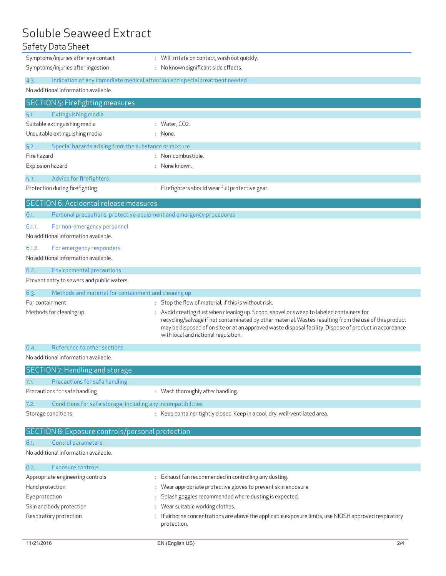# Soluble Seaweed Extract<br>Safety Data Sheet

| Safety Data Sheet                                                                  |                                                                                                                                                                                                                                                                                                                                                   |
|------------------------------------------------------------------------------------|---------------------------------------------------------------------------------------------------------------------------------------------------------------------------------------------------------------------------------------------------------------------------------------------------------------------------------------------------|
| Symptoms/injuries after eye contact                                                | : Will irritate on contact, wash out quickly.                                                                                                                                                                                                                                                                                                     |
| Symptoms/injuries after ingestion                                                  | : No known significant side effects.                                                                                                                                                                                                                                                                                                              |
| 4.3.<br>Indication of any immediate medical attention and special treatment needed |                                                                                                                                                                                                                                                                                                                                                   |
| No additional information available.                                               |                                                                                                                                                                                                                                                                                                                                                   |
| <b>SECTION 5: Firefighting measures</b>                                            |                                                                                                                                                                                                                                                                                                                                                   |
| Extinguishing media<br>5.1.                                                        |                                                                                                                                                                                                                                                                                                                                                   |
| Suitable extinguishing media                                                       | : Water, $CO2$ .                                                                                                                                                                                                                                                                                                                                  |
| Unsuitable extinguishing media                                                     | : None.                                                                                                                                                                                                                                                                                                                                           |
| Special hazards arising from the substance or mixture<br>5.2.                      |                                                                                                                                                                                                                                                                                                                                                   |
| Fire hazard                                                                        | : Non-combustible.                                                                                                                                                                                                                                                                                                                                |
| Explosion hazard                                                                   | : None known.                                                                                                                                                                                                                                                                                                                                     |
| Advice for firefighters<br>5.3.                                                    |                                                                                                                                                                                                                                                                                                                                                   |
| Protection during firefighting                                                     | : Firefighters should wear full protective gear.                                                                                                                                                                                                                                                                                                  |
| <b>SECTION 6: Accidental release measures</b>                                      |                                                                                                                                                                                                                                                                                                                                                   |
| 6.1.<br>Personal precautions, protective equipment and emergency procedures        |                                                                                                                                                                                                                                                                                                                                                   |
| For non-emergency personnel<br>6.1.1.                                              |                                                                                                                                                                                                                                                                                                                                                   |
| No additional information available.                                               |                                                                                                                                                                                                                                                                                                                                                   |
| 6.1.2.<br>For emergency responders                                                 |                                                                                                                                                                                                                                                                                                                                                   |
| No additional information available.                                               |                                                                                                                                                                                                                                                                                                                                                   |
| 6.2.<br>Environmental precautions                                                  |                                                                                                                                                                                                                                                                                                                                                   |
| Prevent entry to sewers and public waters.                                         |                                                                                                                                                                                                                                                                                                                                                   |
|                                                                                    |                                                                                                                                                                                                                                                                                                                                                   |
| 6.3.<br>Methods and material for containment and cleaning up                       |                                                                                                                                                                                                                                                                                                                                                   |
| For containment                                                                    | : Stop the flow of material, if this is without risk.                                                                                                                                                                                                                                                                                             |
| Methods for cleaning up                                                            | Avoid creating dust when cleaning up. Scoop, shovel or sweep to labeled containers for<br>recycling/salvage if not contaminated by other material. Wastes resulting from the use of this product<br>may be disposed of on site or at an approved waste disposal facility. Dispose of product in accordance<br>with local and national regulation. |
| Reference to other sections<br>6.4.                                                |                                                                                                                                                                                                                                                                                                                                                   |
| No additional information available.                                               |                                                                                                                                                                                                                                                                                                                                                   |
| <b>SECTION 7: Handling and storage</b>                                             |                                                                                                                                                                                                                                                                                                                                                   |
| Precautions for safe handling<br>7.1.                                              |                                                                                                                                                                                                                                                                                                                                                   |
| Precautions for safe handling                                                      | : Wash thoroughly after handling.                                                                                                                                                                                                                                                                                                                 |
| Conditions for safe storage, including any incompatibilities<br>7.2.               |                                                                                                                                                                                                                                                                                                                                                   |
| Storage conditions                                                                 | : Keep container tightly closed. Keep in a cool, dry, well-ventilated area.                                                                                                                                                                                                                                                                       |
|                                                                                    |                                                                                                                                                                                                                                                                                                                                                   |
| SECTION 8: Exposure controls/personal protection<br>8.1.                           |                                                                                                                                                                                                                                                                                                                                                   |
| Control parameters<br>No additional information available.                         |                                                                                                                                                                                                                                                                                                                                                   |
| 8.2.<br>Exposure controls                                                          |                                                                                                                                                                                                                                                                                                                                                   |

| Appropriate engineering controls | : Exhaust fan recommended in controlling any dusting.                                                                |
|----------------------------------|----------------------------------------------------------------------------------------------------------------------|
| Hand protection                  | Wear appropriate protective gloves to prevent skin exposure.                                                         |
| Eye protection                   | : Splash goggles recommended where dusting is expected.                                                              |
| Skin and body protection         | Wear suitable working clothes.                                                                                       |
| Respiratory protection           | : If airborne concentrations are above the applicable exposure limits, use NIOSH approved respiratory<br>protection. |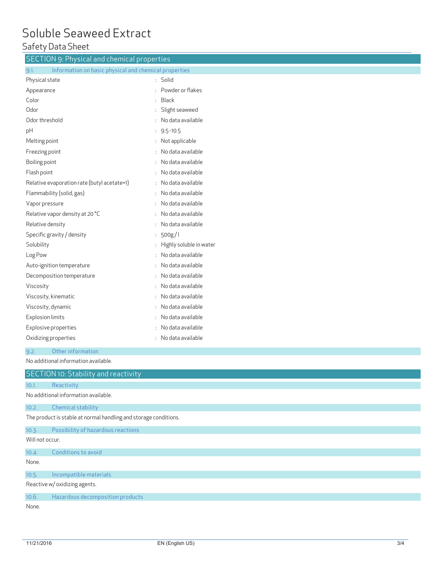## Soluble Seaweed Extract

#### Safety Data Sheet

| <b>SECTION 9: Physical and chemical properties</b>               |  |  |  |  |
|------------------------------------------------------------------|--|--|--|--|
| 9.1.<br>Information on basic physical and chemical properties    |  |  |  |  |
| : Solid                                                          |  |  |  |  |
| : Powder or flakes                                               |  |  |  |  |
| <b>Black</b>                                                     |  |  |  |  |
| Slight seaweed                                                   |  |  |  |  |
| : No data available                                              |  |  |  |  |
| $: 9.5 - 10.5$                                                   |  |  |  |  |
| : Not applicable                                                 |  |  |  |  |
| No data available                                                |  |  |  |  |
| No data available                                                |  |  |  |  |
| No data available                                                |  |  |  |  |
| No data available                                                |  |  |  |  |
| No data available                                                |  |  |  |  |
| No data available                                                |  |  |  |  |
| No data available                                                |  |  |  |  |
| No data available                                                |  |  |  |  |
| 500g/l<br>÷.                                                     |  |  |  |  |
| Highly soluble in water                                          |  |  |  |  |
| No data available                                                |  |  |  |  |
| : No data available                                              |  |  |  |  |
| No data available                                                |  |  |  |  |
| No data available                                                |  |  |  |  |
| No data available                                                |  |  |  |  |
| No data available                                                |  |  |  |  |
| No data available                                                |  |  |  |  |
| No data available                                                |  |  |  |  |
| : No data available                                              |  |  |  |  |
|                                                                  |  |  |  |  |
|                                                                  |  |  |  |  |
|                                                                  |  |  |  |  |
|                                                                  |  |  |  |  |
|                                                                  |  |  |  |  |
|                                                                  |  |  |  |  |
| The product is stable at normal handling and storage conditions. |  |  |  |  |
|                                                                  |  |  |  |  |
|                                                                  |  |  |  |  |
|                                                                  |  |  |  |  |

1 0 4 . . Conditions to avoid

None .

#### 1 0 5 . . Incompatible materials

Reactive w/ oxidizing agents .

1 0 6 . . Hazardous decomposition products

None .